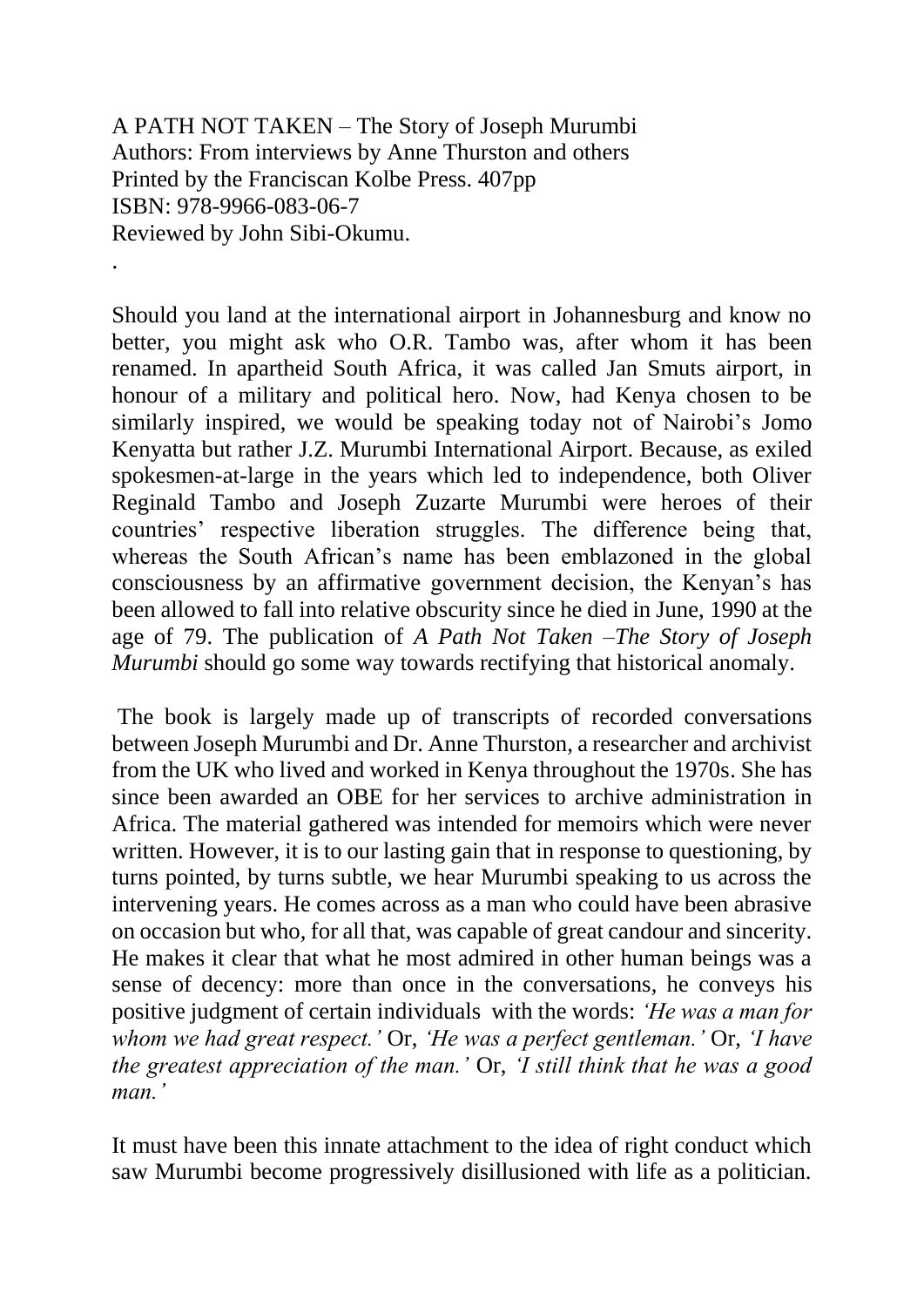A PATH NOT TAKEN – The Story of Joseph Murumbi Authors: From interviews by Anne Thurston and others Printed by the Franciscan Kolbe Press. 407pp ISBN: 978-9966-083-06-7 Reviewed by John Sibi-Okumu. .

Should you land at the international airport in Johannesburg and know no better, you might ask who O.R. Tambo was, after whom it has been renamed. In apartheid South Africa, it was called Jan Smuts airport, in honour of a military and political hero. Now, had Kenya chosen to be similarly inspired, we would be speaking today not of Nairobi's Jomo Kenyatta but rather J.Z. Murumbi International Airport. Because, as exiled spokesmen-at-large in the years which led to independence, both Oliver Reginald Tambo and Joseph Zuzarte Murumbi were heroes of their countries' respective liberation struggles. The difference being that, whereas the South African's name has been emblazoned in the global consciousness by an affirmative government decision, the Kenyan's has been allowed to fall into relative obscurity since he died in June, 1990 at the age of 79. The publication of *A Path Not Taken –The Story of Joseph Murumbi* should go some way towards rectifying that historical anomaly.

The book is largely made up of transcripts of recorded conversations between Joseph Murumbi and Dr. Anne Thurston, a researcher and archivist from the UK who lived and worked in Kenya throughout the 1970s. She has since been awarded an OBE for her services to archive administration in Africa. The material gathered was intended for memoirs which were never written. However, it is to our lasting gain that in response to questioning, by turns pointed, by turns subtle, we hear Murumbi speaking to us across the intervening years. He comes across as a man who could have been abrasive on occasion but who, for all that, was capable of great candour and sincerity. He makes it clear that what he most admired in other human beings was a sense of decency: more than once in the conversations, he conveys his positive judgment of certain individuals with the words: *'He was a man for whom we had great respect.'* Or, *'He was a perfect gentleman.'* Or, *'I have the greatest appreciation of the man.'* Or, *'I still think that he was a good man.'*

It must have been this innate attachment to the idea of right conduct which saw Murumbi become progressively disillusioned with life as a politician.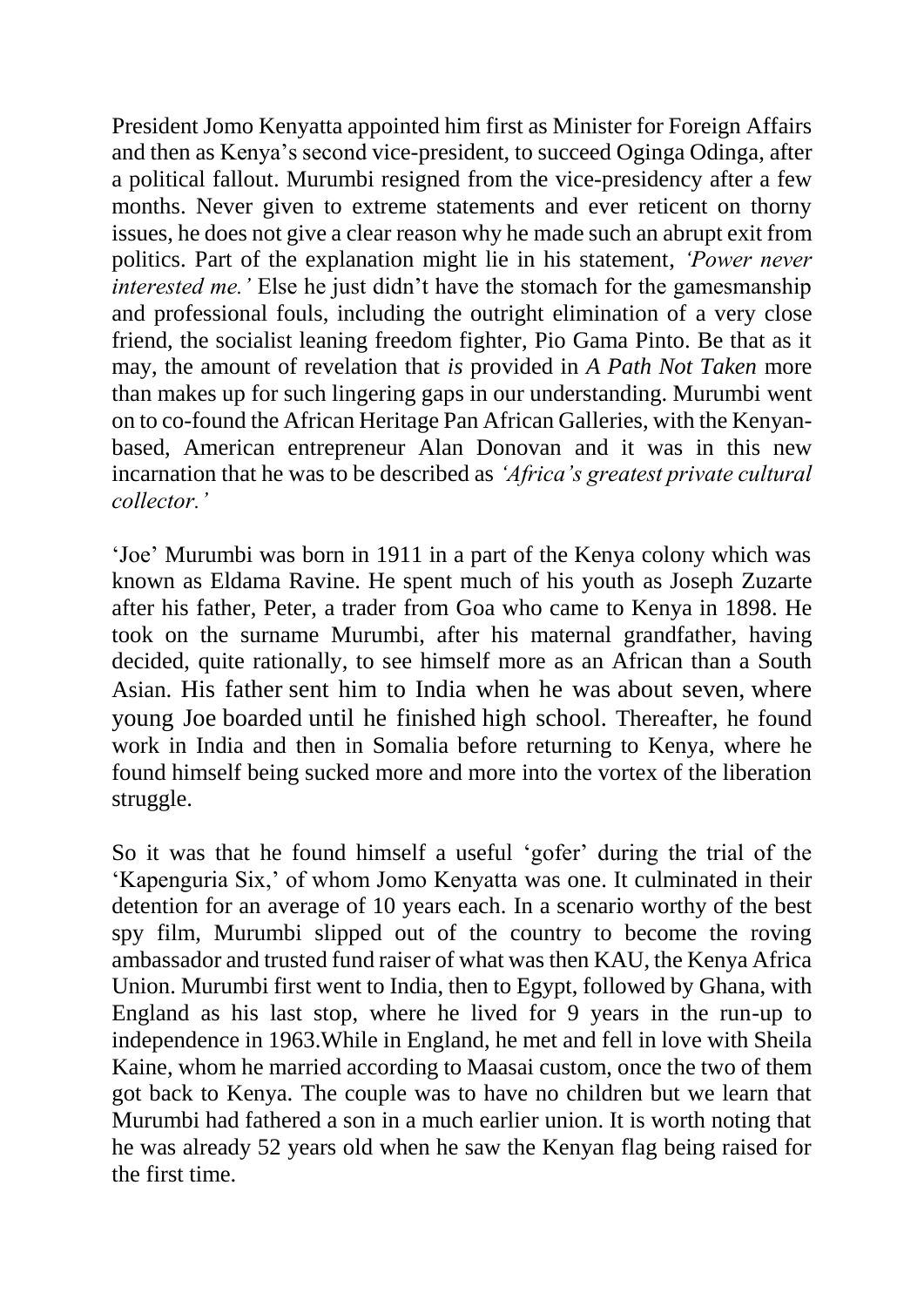President Jomo Kenyatta appointed him first as Minister for Foreign Affairs and then as Kenya's second vice-president, to succeed Oginga Odinga, after a political fallout. Murumbi resigned from the vice-presidency after a few months. Never given to extreme statements and ever reticent on thorny issues, he does not give a clear reason why he made such an abrupt exit from politics. Part of the explanation might lie in his statement, *'Power never interested me.'* Else he just didn't have the stomach for the gamesmanship and professional fouls, including the outright elimination of a very close friend, the socialist leaning freedom fighter, Pio Gama Pinto. Be that as it may, the amount of revelation that *is* provided in *A Path Not Taken* more than makes up for such lingering gaps in our understanding. Murumbi went on to co-found the African Heritage Pan African Galleries, with the Kenyanbased, American entrepreneur Alan Donovan and it was in this new incarnation that he was to be described as *'Africa's greatest private cultural collector.'*

'Joe' Murumbi was born in 1911 in a part of the Kenya colony which was known as Eldama Ravine. He spent much of his youth as Joseph Zuzarte after his father, Peter, a trader from Goa who came to Kenya in 1898. He took on the surname Murumbi, after his maternal grandfather, having decided, quite rationally, to see himself more as an African than a South Asian. His father sent him to India when he was about seven, where young Joe boarded until he finished high school. Thereafter, he found work in India and then in Somalia before returning to Kenya, where he found himself being sucked more and more into the vortex of the liberation struggle.

So it was that he found himself a useful 'gofer' during the trial of the 'Kapenguria Six,' of whom Jomo Kenyatta was one. It culminated in their detention for an average of 10 years each. In a scenario worthy of the best spy film, Murumbi slipped out of the country to become the roving ambassador and trusted fund raiser of what was then KAU, the Kenya Africa Union. Murumbi first went to India, then to Egypt, followed by Ghana, with England as his last stop, where he lived for 9 years in the run-up to independence in 1963.While in England, he met and fell in love with Sheila Kaine, whom he married according to Maasai custom, once the two of them got back to Kenya. The couple was to have no children but we learn that Murumbi had fathered a son in a much earlier union. It is worth noting that he was already 52 years old when he saw the Kenyan flag being raised for the first time.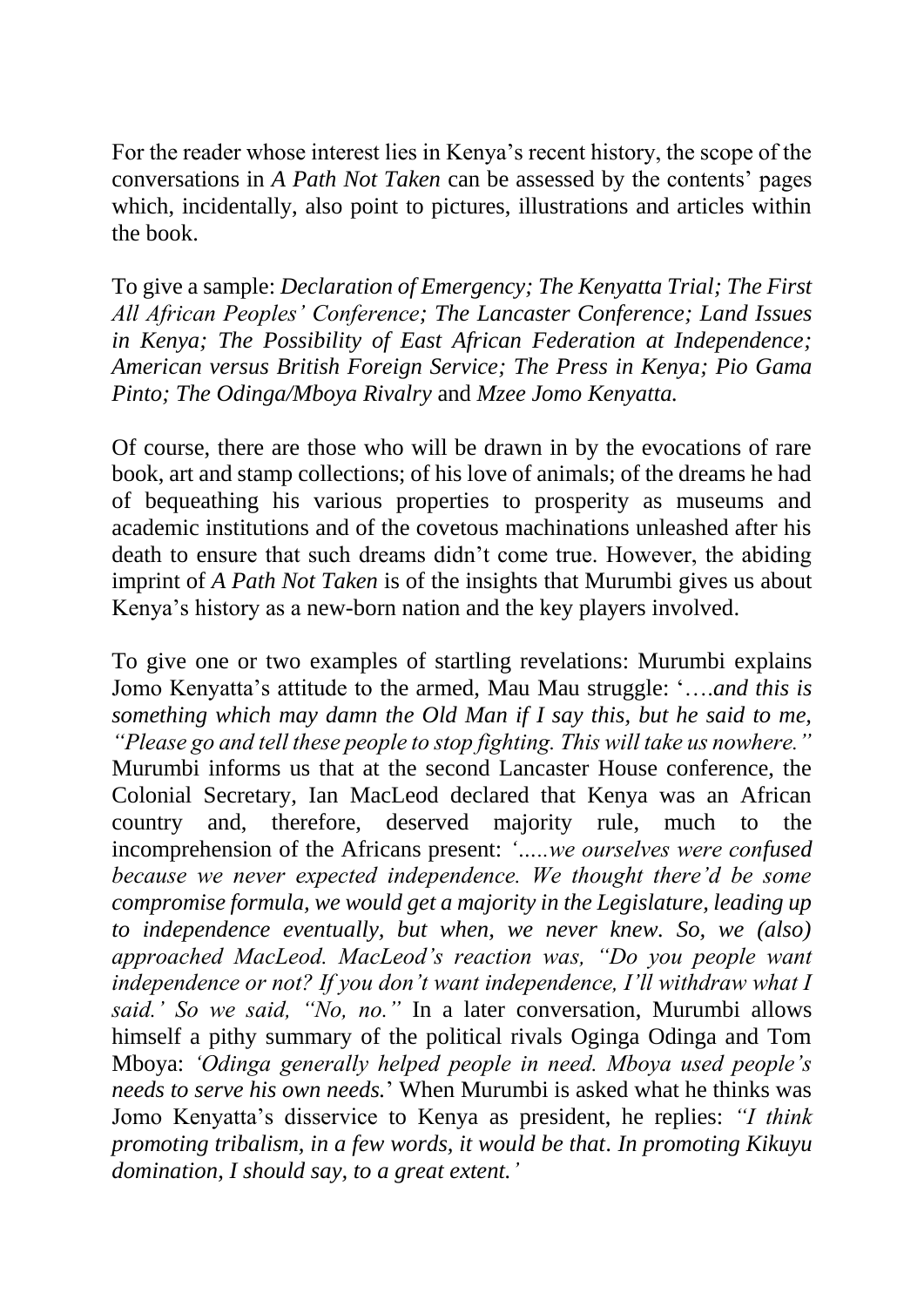For the reader whose interest lies in Kenya's recent history, the scope of the conversations in *A Path Not Taken* can be assessed by the contents' pages which, incidentally, also point to pictures, illustrations and articles within the book.

To give a sample: *Declaration of Emergency; The Kenyatta Trial; The First All African Peoples' Conference; The Lancaster Conference; Land Issues in Kenya; The Possibility of East African Federation at Independence; American versus British Foreign Service; The Press in Kenya; Pio Gama Pinto; The Odinga/Mboya Rivalry* and *Mzee Jomo Kenyatta.*

Of course, there are those who will be drawn in by the evocations of rare book, art and stamp collections; of his love of animals; of the dreams he had of bequeathing his various properties to prosperity as museums and academic institutions and of the covetous machinations unleashed after his death to ensure that such dreams didn't come true. However, the abiding imprint of *A Path Not Taken* is of the insights that Murumbi gives us about Kenya's history as a new-born nation and the key players involved.

To give one or two examples of startling revelations: Murumbi explains Jomo Kenyatta's attitude to the armed, Mau Mau struggle: '….*and this is something which may damn the Old Man if I say this, but he said to me, "Please go and tell these people to stop fighting. This will take us nowhere."* Murumbi informs us that at the second Lancaster House conference, the Colonial Secretary, Ian MacLeod declared that Kenya was an African country and, therefore, deserved majority rule, much to the incomprehension of the Africans present: *'…..we ourselves were confused because we never expected independence. We thought there'd be some compromise formula, we would get a majority in the Legislature, leading up to independence eventually, but when, we never knew. So, we (also) approached MacLeod. MacLeod's reaction was, "Do you people want independence or not? If you don't want independence, I'll withdraw what I said.' So we said, "No, no."* In a later conversation, Murumbi allows himself a pithy summary of the political rivals Oginga Odinga and Tom Mboya: *'Odinga generally helped people in need. Mboya used people's needs to serve his own needs.*' When Murumbi is asked what he thinks was Jomo Kenyatta's disservice to Kenya as president, he replies: *"I think promoting tribalism, in a few words, it would be that. In promoting Kikuyu domination, I should say, to a great extent.'*